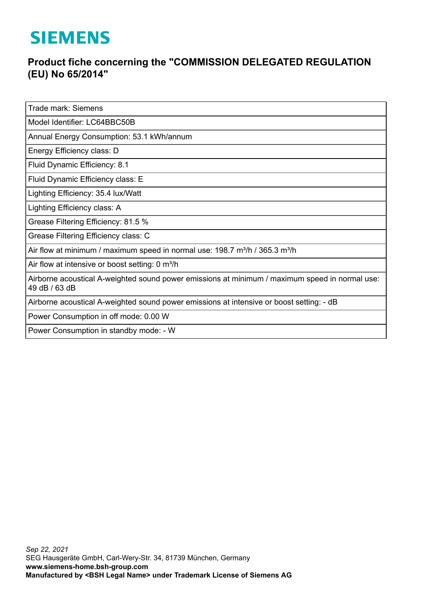## **SIEMENS**

## **Product fiche concerning the "COMMISSION DELEGATED REGULATION (EU) No 65/2014"**

Trade mark: Siemens

Model Identifier: LC64BBC50B

Annual Energy Consumption: 53.1 kWh/annum

Energy Efficiency class: D

Fluid Dynamic Efficiency: 8.1

Fluid Dynamic Efficiency class: E

Lighting Efficiency: 35.4 lux/Watt

Lighting Efficiency class: A

Grease Filtering Efficiency: 81.5 %

Grease Filtering Efficiency class: C

Air flow at minimum / maximum speed in normal use: 198.7 m<sup>3</sup>/h / 365.3 m<sup>3</sup>/h

Air flow at intensive or boost setting: 0 m<sup>3</sup>/h

Airborne acoustical A-weighted sound power emissions at minimum / maximum speed in normal use: 49 dB / 63 dB

Airborne acoustical A-weighted sound power emissions at intensive or boost setting: - dB

Power Consumption in off mode: 0.00 W

Power Consumption in standby mode: - W